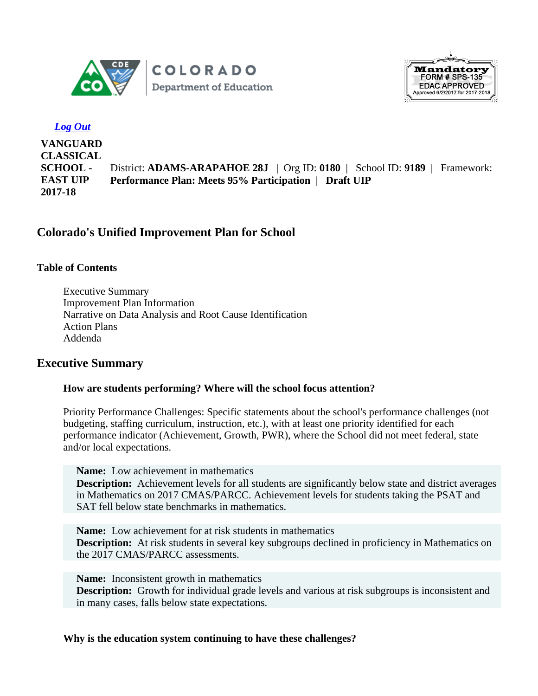



## *Log Out*

**VANGUARD CLASSICAL SCHOOL - EAST UIP 2017-18** District: **ADAMS-ARAPAHOE 28J** | Org ID: **0180** | School ID: **9189** | Framework: **Performance Plan: Meets 95% Participation** | **Draft UIP**

# **Colorado's Unified Improvement Plan for School**

## **Table of Contents**

Executive Summary Improvement Plan Information Narrative on Data Analysis and Root Cause Identification Action Plans Addenda

## **Executive Summary**

## **How are students performing? Where will the school focus attention?**

Priority Performance Challenges: Specific statements about the school's performance challenges (not budgeting, staffing curriculum, instruction, etc.), with at least one priority identified for each performance indicator (Achievement, Growth, PWR), where the School did not meet federal, state and/or local expectations.

**Name:** Low achievement in mathematics **Description:** Achievement levels for all students are significantly below state and district averages in Mathematics on 2017 CMAS/PARCC. Achievement levels for students taking the PSAT and SAT fell below state benchmarks in mathematics.

**Name:** Low achievement for at risk students in mathematics **Description:** At risk students in several key subgroups declined in proficiency in Mathematics on the 2017 CMAS/PARCC assessments.

**Name:** Inconsistent growth in mathematics **Description:** Growth for individual grade levels and various at risk subgroups is inconsistent and in many cases, falls below state expectations.

**Why is the education system continuing to have these challenges?**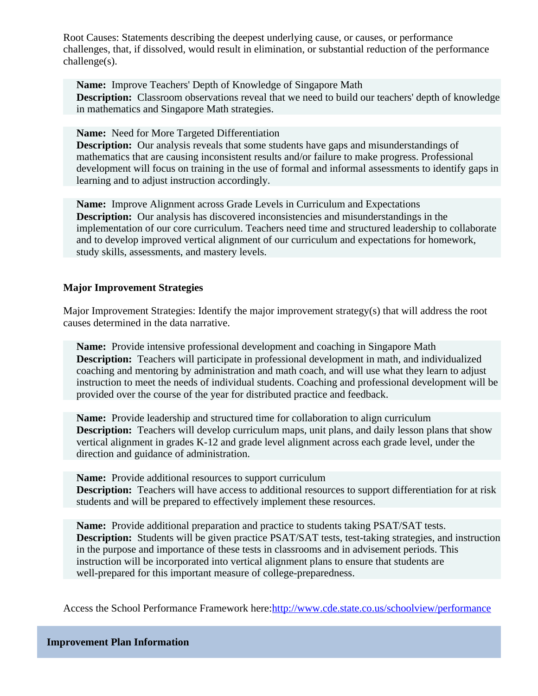Root Causes: Statements describing the deepest underlying cause, or causes, or performance challenges, that, if dissolved, would result in elimination, or substantial reduction of the performance challenge(s).

**Name:** Improve Teachers' Depth of Knowledge of Singapore Math **Description:** Classroom observations reveal that we need to build our teachers' depth of knowledge in mathematics and Singapore Math strategies.

**Name:** Need for More Targeted Differentiation

**Description:** Our analysis reveals that some students have gaps and misunderstandings of mathematics that are causing inconsistent results and/or failure to make progress. Professional development will focus on training in the use of formal and informal assessments to identify gaps in learning and to adjust instruction accordingly.

**Name:** Improve Alignment across Grade Levels in Curriculum and Expectations **Description:** Our analysis has discovered inconsistencies and misunderstandings in the implementation of our core curriculum. Teachers need time and structured leadership to collaborate and to develop improved vertical alignment of our curriculum and expectations for homework, study skills, assessments, and mastery levels.

### **Major Improvement Strategies**

Major Improvement Strategies: Identify the major improvement strategy(s) that will address the root causes determined in the data narrative.

**Name:** Provide intensive professional development and coaching in Singapore Math **Description:** Teachers will participate in professional development in math, and individualized coaching and mentoring by administration and math coach, and will use what they learn to adjust instruction to meet the needs of individual students. Coaching and professional development will be provided over the course of the year for distributed practice and feedback.

**Name:** Provide leadership and structured time for collaboration to align curriculum **Description:** Teachers will develop curriculum maps, unit plans, and daily lesson plans that show vertical alignment in grades K-12 and grade level alignment across each grade level, under the direction and guidance of administration.

**Name:** Provide additional resources to support curriculum

**Description:** Teachers will have access to additional resources to support differentiation for at risk students and will be prepared to effectively implement these resources.

**Name:** Provide additional preparation and practice to students taking PSAT/SAT tests. **Description:** Students will be given practice PSAT/SAT tests, test-taking strategies, and instruction in the purpose and importance of these tests in classrooms and in advisement periods. This instruction will be incorporated into vertical alignment plans to ensure that students are well-prepared for this important measure of college-preparedness.

Access the School Performance Framework here: <http://www.cde.state.co.us/schoolview/performance>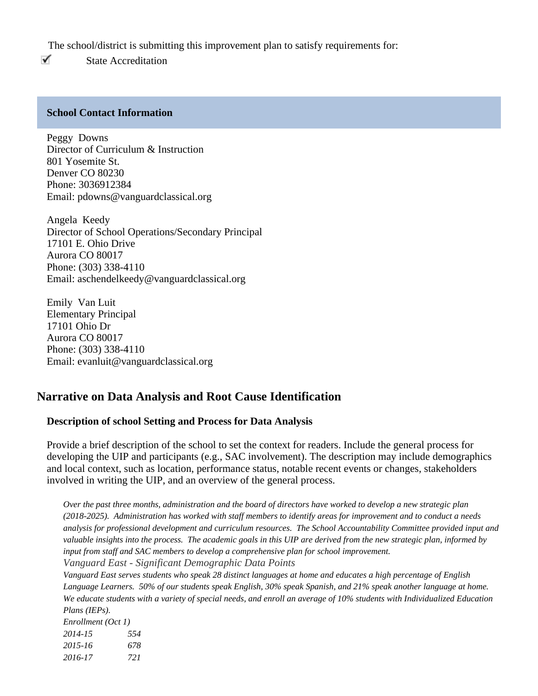The school/district is submitting this improvement plan to satisfy requirements for:

✓ State Accreditation

### **School Contact Information**

Peggy Downs Director of Curriculum & Instruction 801 Yosemite St. Denver CO 80230 Phone: 3036912384 Email: pdowns@vanguardclassical.org

Angela Keedy Director of School Operations/Secondary Principal 17101 E. Ohio Drive Aurora CO 80017 Phone: (303) 338-4110 Email: aschendelkeedy@vanguardclassical.org

Emily Van Luit Elementary Principal 17101 Ohio Dr Aurora CO 80017 Phone: (303) 338-4110 Email: evanluit@vanguardclassical.org

## **Narrative on Data Analysis and Root Cause Identification**

## **Description of school Setting and Process for Data Analysis**

Provide a brief description of the school to set the context for readers. Include the general process for developing the UIP and participants (e.g., SAC involvement). The description may include demographics and local context, such as location, performance status, notable recent events or changes, stakeholders involved in writing the UIP, and an overview of the general process.

*Over the past three months, administration and the board of directors have worked to develop a new strategic plan (2018-2025). Administration has worked with staff members to identify areas for improvement and to conduct a needs analysis for professional development and curriculum resources. The School Accountability Committee provided input and valuable insights into the process. The academic goals in this UIP are derived from the new strategic plan, informed by input from staff and SAC members to develop a comprehensive plan for school improvement. Vanguard East - Significant Demographic Data Points*

*Vanguard East serves students who speak 28 distinct languages at home and educates a high percentage of English* Language Learners. 50% of our students speak English, 30% speak Spanish, and 21% speak another language at home. *We educate students with a variety of special needs, and enroll an average of 10% students with Individualized Education Plans (IEPs).* 

| Enrollment (Oct 1) |     |
|--------------------|-----|
| 2014-15            | 554 |
| $2015 - 16$        | 678 |
| 2016-17            | 721 |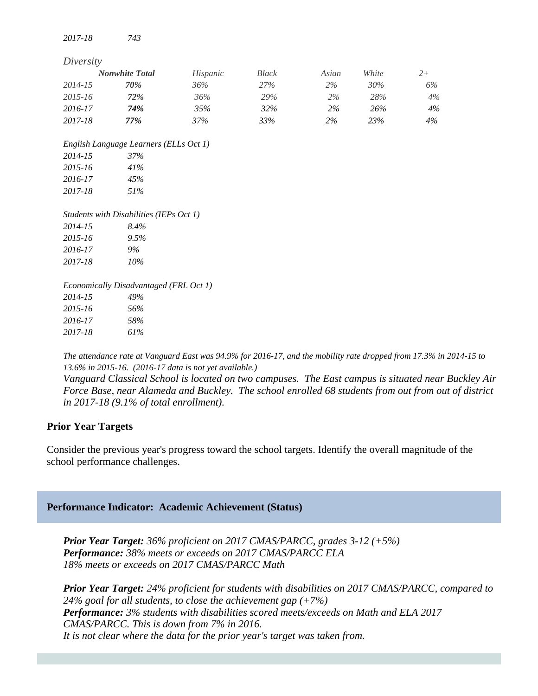*2017-18 743*

| Diversity |                                         |          |              |       |       |       |
|-----------|-----------------------------------------|----------|--------------|-------|-------|-------|
|           | <b>Nonwhite Total</b>                   | Hispanic | <b>Black</b> | Asian | White | $2+$  |
| 2014-15   | 70%                                     | 36%      | 27%          | 2%    | 30%   | 6%    |
| 2015-16   | 72%                                     | 36%      | 29%          | $2\%$ | 28%   | 4%    |
| 2016-17   | 74%                                     | 35%      | 32%          | 2%    | 26%   | 4%    |
| 2017-18   | 77%                                     | 37%      | 33%          | $2\%$ | 23%   | $4\%$ |
|           | English Language Learners (ELLs Oct 1)  |          |              |       |       |       |
| 2014-15   | 37%                                     |          |              |       |       |       |
| 2015-16   | 41%                                     |          |              |       |       |       |
| 2016-17   | 45%                                     |          |              |       |       |       |
| 2017-18   | 51%                                     |          |              |       |       |       |
|           | Students with Disabilities (IEPs Oct 1) |          |              |       |       |       |
| 2014-15   | 8.4%                                    |          |              |       |       |       |
| 2015-16   | 9.5%                                    |          |              |       |       |       |
| 2016-17   | 9%                                      |          |              |       |       |       |
| 2017-18   | $10\%$                                  |          |              |       |       |       |
|           | Economically Disadvantaged (FRL Oct 1)  |          |              |       |       |       |
| 2014-15   | 49%                                     |          |              |       |       |       |
| 2015-16   | 56%                                     |          |              |       |       |       |
| 2016-17   | 58%                                     |          |              |       |       |       |
| 2017-18   | 61%                                     |          |              |       |       |       |

*The attendance rate at Vanguard East was 94.9% for 2016-17, and the mobility rate dropped from 17.3% in 2014-15 to 13.6% in 2015-16. (2016-17 data is not yet available.)*

*Vanguard Classical School is located on two campuses. The East campus is situated near Buckley Air Force Base, near Alameda and Buckley. The school enrolled 68 students from out from out of district in 2017-18 (9.1% of total enrollment).*

### **Prior Year Targets**

Consider the previous year's progress toward the school targets. Identify the overall magnitude of the school performance challenges.

### **Performance Indicator: Academic Achievement (Status)**

*Prior Year Target: 36% proficient on 2017 CMAS/PARCC, grades 3-12 (+5%) Performance: 38% meets or exceeds on 2017 CMAS/PARCC ELA 18% meets or exceeds on 2017 CMAS/PARCC Math*

*Prior Year Target: 24% proficient for students with disabilities on 2017 CMAS/PARCC, compared to 24% goal for all students, to close the achievement gap (+7%) Performance: 3% students with disabilities scored meets/exceeds on Math and ELA 2017 CMAS/PARCC. This is down from 7% in 2016. It is not clear where the data for the prior year's target was taken from.*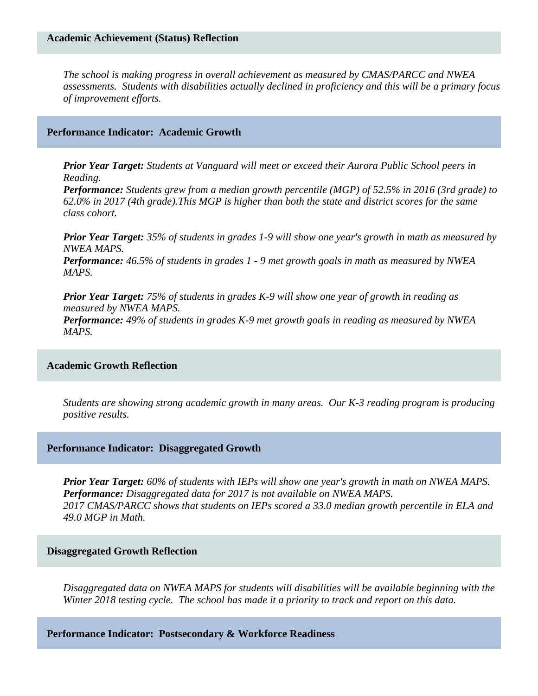*The school is making progress in overall achievement as measured by CMAS/PARCC and NWEA assessments. Students with disabilities actually declined in proficiency and this will be a primary focus of improvement efforts.*

### **Performance Indicator: Academic Growth**

*Prior Year Target: Students at Vanguard will meet or exceed their Aurora Public School peers in Reading.*

*Performance: Students grew from a median growth percentile (MGP) of 52.5% in 2016 (3rd grade) to 62.0% in 2017 (4th grade).This MGP is higher than both the state and district scores for the same class cohort.*

*Prior Year Target: 35% of students in grades 1-9 will show one year's growth in math as measured by NWEA MAPS. Performance: 46.5% of students in grades 1 - 9 met growth goals in math as measured by NWEA MAPS.*

*Prior Year Target: 75% of students in grades K-9 will show one year of growth in reading as measured by NWEA MAPS. Performance: 49% of students in grades K-9 met growth goals in reading as measured by NWEA MAPS.*

### **Academic Growth Reflection**

*Students are showing strong academic growth in many areas. Our K-3 reading program is producing positive results.* 

#### **Performance Indicator: Disaggregated Growth**

*Prior Year Target: 60% of students with IEPs will show one year's growth in math on NWEA MAPS. Performance: Disaggregated data for 2017 is not available on NWEA MAPS. 2017 CMAS/PARCC shows that students on IEPs scored a 33.0 median growth percentile in ELA and 49.0 MGP in Math.*

### **Disaggregated Growth Reflection**

*Disaggregated data on NWEA MAPS for students will disabilities will be available beginning with the Winter 2018 testing cycle. The school has made it a priority to track and report on this data.* 

**Performance Indicator: Postsecondary & Workforce Readiness**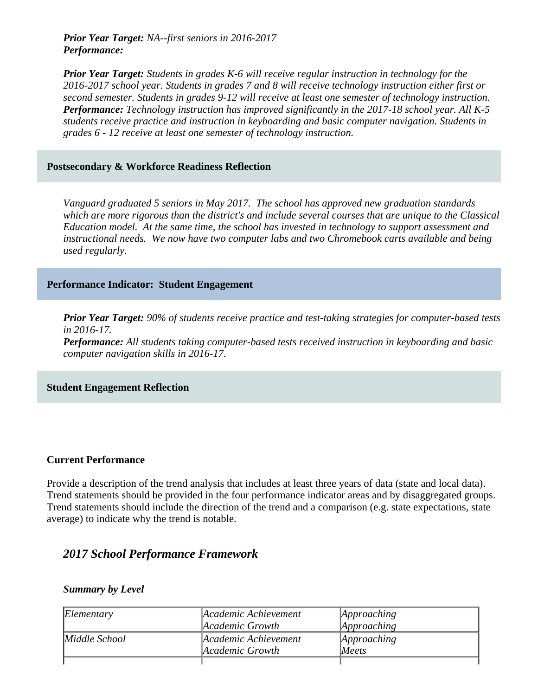*Prior Year Target: NA--first seniors in 2016-2017 Performance:* 

*Prior Year Target: Students in grades K-6 will receive regular instruction in technology for the 2016-2017 school year. Students in grades 7 and 8 will receive technology instruction either first or second semester. Students in grades 9-12 will receive at least one semester of technology instruction. Performance: Technology instruction has improved significantly in the 2017-18 school year. All K-5 students receive practice and instruction in keyboarding and basic computer navigation. Students in grades 6 - 12 receive at least one semester of technology instruction.*

### **Postsecondary & Workforce Readiness Reflection**

*Vanguard graduated 5 seniors in May 2017. The school has approved new graduation standards which are more rigorous than the district's and include several courses that are unique to the Classical Education model. At the same time, the school has invested in technology to support assessment and instructional needs. We now have two computer labs and two Chromebook carts available and being used regularly.*

### **Performance Indicator: Student Engagement**

*Prior Year Target: 90% of students receive practice and test-taking strategies for computer-based tests in 2016-17. Performance: All students taking computer-based tests received instruction in keyboarding and basic computer navigation skills in 2016-17.*

### **Student Engagement Reflection**

### **Current Performance**

Provide a description of the trend analysis that includes at least three years of data (state and local data). Trend statements should be provided in the four performance indicator areas and by disaggregated groups. Trend statements should include the direction of the trend and a comparison (e.g. state expectations, state average) to indicate why the trend is notable.

## *2017 School Performance Framework*

### *Summary by Level*

| Elementary    | Academic Achievement | Approaching |
|---------------|----------------------|-------------|
|               | Academic Growth      | Approaching |
| Middle School | Academic Achievement | Approaching |
|               | Academic Growth      | Meets       |
|               |                      |             |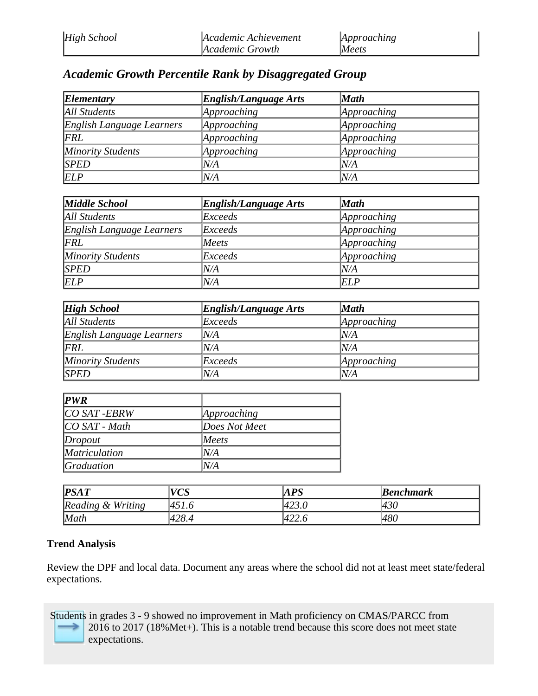# *Academic Growth Percentile Rank by Disaggregated Group*

| Elementary                | <b>English/Language Arts</b> | <b>Math</b> |
|---------------------------|------------------------------|-------------|
| <b>All Students</b>       | Approaching                  | Approaching |
| English Language Learners | Approaching                  | Approaching |
| FRL                       | Approaching                  | Approaching |
| <b>Minority Students</b>  | Approaching                  | Approaching |
| <b>SPED</b>               | N/A                          | N/A         |
| <b>ELP</b>                | N/A                          | N/A         |

| Middle School             | <b>English/Language Arts</b> | <b>Math</b> |
|---------------------------|------------------------------|-------------|
| All Students              | Exceeds                      | Approaching |
| English Language Learners | Exceeds                      | Approaching |
| FRL                       | Meets                        | Approaching |
| Minority Students         | Exceeds                      | Approaching |
| <b>SPED</b>               | N/A                          | N/A         |
| <b>ELP</b>                | N/A                          | <b>ELP</b>  |

| <b>High School</b>        | <b>English/Language Arts</b> | <b>Math</b> |
|---------------------------|------------------------------|-------------|
| All Students              | Exceeds                      | Approaching |
| English Language Learners | $N\!/\!A$                    | N/A         |
| FRL                       | N/A                          | N/A         |
| Minority Students         | Exceeds                      | Approaching |
| <b>SPED</b>               | N/A                          | N/A         |

| <b>PWR</b>           |               |
|----------------------|---------------|
| CO SAT -EBRW         | Approaching   |
| $ CO\ SAT$ - Math    | Does Not Meet |
| Dropout              | Meets         |
| <i>Matriculation</i> | N/A           |
| <i>Graduation</i>    | N/A           |

| PSAT              | 170°C<br>v Uj | APS   | <b>Benchmark</b> |
|-------------------|---------------|-------|------------------|
| Reading & Writing | $451$ .       | 423.0 | 430              |
| Math              | 428.4         | 422.6 | 480              |

## **Trend Analysis**

Review the DPF and local data. Document any areas where the school did not at least meet state/federal expectations.

Students in grades 3 - 9 showed no improvement in Math proficiency on CMAS/PARCC from 2016 to 2017 (18%Met+). This is a notable trend because this score does not meet state  $\rightarrow$ expectations.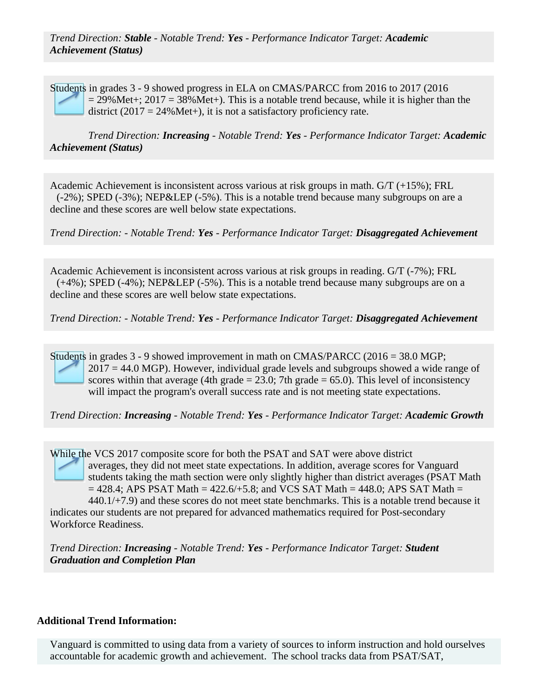*Trend Direction: Stable - Notable Trend: Yes - Performance Indicator Target: Academic Achievement (Status)*

Students in grades 3 - 9 showed progress in ELA on CMAS/PARCC from 2016 to 2017 (2016  $= 29\%$  Met+; 2017 = 38% Met+). This is a notable trend because, while it is higher than the district (2017 = 24% Met+), it is not a satisfactory proficiency rate.

*Trend Direction: Increasing - Notable Trend: Yes - Performance Indicator Target: Academic Achievement (Status)*

Academic Achievement is inconsistent across various at risk groups in math. G/T (+15%); FRL (-2%); SPED (-3%); NEP&LEP (-5%). This is a notable trend because many subgroups on are a decline and these scores are well below state expectations.

*Trend Direction: - Notable Trend: Yes - Performance Indicator Target: Disaggregated Achievement*

Academic Achievement is inconsistent across various at risk groups in reading. G/T (-7%); FRL (+4%); SPED (-4%); NEP&LEP (-5%). This is a notable trend because many subgroups are on a decline and these scores are well below state expectations.

*Trend Direction: - Notable Trend: Yes - Performance Indicator Target: Disaggregated Achievement*

Students in grades 3 - 9 showed improvement in math on CMAS/PARCC (2016 = 38.0 MGP;  $2017 = 44.0$  MGP). However, individual grade levels and subgroups showed a wide range of scores within that average (4th grade  $= 23.0$ ; 7th grade  $= 65.0$ ). This level of inconsistency will impact the program's overall success rate and is not meeting state expectations.

*Trend Direction: Increasing - Notable Trend: Yes - Performance Indicator Target: Academic Growth*

While the VCS 2017 composite score for both the PSAT and SAT were above district averages, they did not meet state expectations. In addition, average scores for Vanguard students taking the math section were only slightly higher than district averages (PSAT Math  $= 428.4$ ; APS PSAT Math  $= 422.6/+5.8$ ; and VCS SAT Math  $= 448.0$ ; APS SAT Math  $= 428.4$  $440.1/+7.9$ ) and these scores do not meet state benchmarks. This is a notable trend because it indicates our students are not prepared for advanced mathematics required for Post-secondary Workforce Readiness.

*Trend Direction: Increasing - Notable Trend: Yes - Performance Indicator Target: Student Graduation and Completion Plan*

## **Additional Trend Information:**

Vanguard is committed to using data from a variety of sources to inform instruction and hold ourselves accountable for academic growth and achievement. The school tracks data from PSAT/SAT,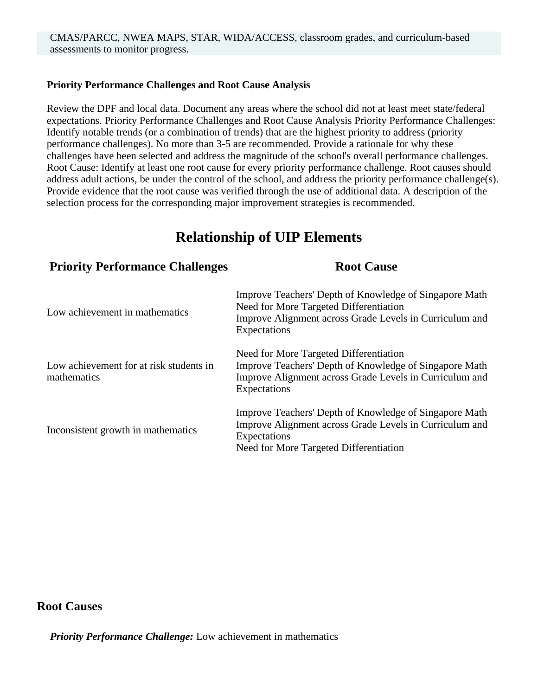## **Priority Performance Challenges and Root Cause Analysis**

Review the DPF and local data. Document any areas where the school did not at least meet state/federal expectations. Priority Performance Challenges and Root Cause Analysis Priority Performance Challenges: Identify notable trends (or a combination of trends) that are the highest priority to address (priority performance challenges). No more than 3-5 are recommended. Provide a rationale for why these challenges have been selected and address the magnitude of the school's overall performance challenges. Root Cause: Identify at least one root cause for every priority performance challenge. Root causes should address adult actions, be under the control of the school, and address the priority performance challenge(s). Provide evidence that the root cause was verified through the use of additional data. A description of the selection process for the corresponding major improvement strategies is recommended.

# **Relationship of UIP Elements**

| <b>Priority Performance Challenges</b>                 | <b>Root Cause</b>                                                                                                                                                           |
|--------------------------------------------------------|-----------------------------------------------------------------------------------------------------------------------------------------------------------------------------|
| Low achievement in mathematics                         | Improve Teachers' Depth of Knowledge of Singapore Math<br>Need for More Targeted Differentiation<br>Improve Alignment across Grade Levels in Curriculum and<br>Expectations |
| Low achievement for at risk students in<br>mathematics | Need for More Targeted Differentiation<br>Improve Teachers' Depth of Knowledge of Singapore Math<br>Improve Alignment across Grade Levels in Curriculum and<br>Expectations |
| Inconsistent growth in mathematics                     | Improve Teachers' Depth of Knowledge of Singapore Math<br>Improve Alignment across Grade Levels in Curriculum and<br>Expectations<br>Need for More Targeted Differentiation |

## **Root Causes**

*Priority Performance Challenge:* Low achievement in mathematics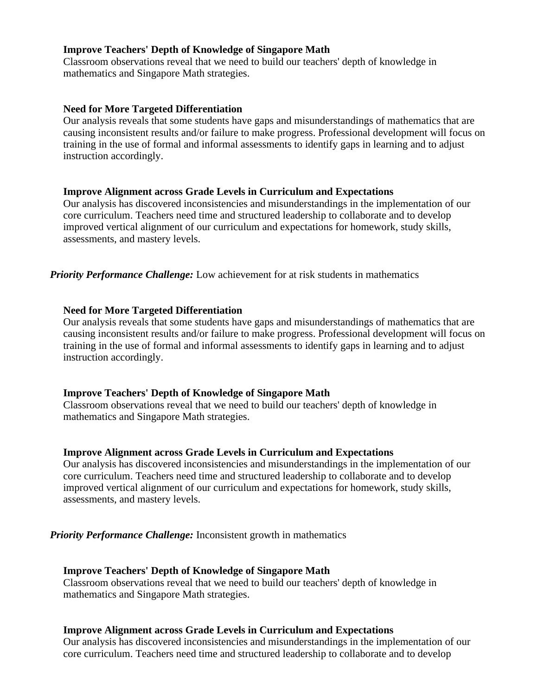## **Improve Teachers' Depth of Knowledge of Singapore Math**

Classroom observations reveal that we need to build our teachers' depth of knowledge in mathematics and Singapore Math strategies.

### **Need for More Targeted Differentiation**

Our analysis reveals that some students have gaps and misunderstandings of mathematics that are causing inconsistent results and/or failure to make progress. Professional development will focus on training in the use of formal and informal assessments to identify gaps in learning and to adjust instruction accordingly.

### **Improve Alignment across Grade Levels in Curriculum and Expectations**

Our analysis has discovered inconsistencies and misunderstandings in the implementation of our core curriculum. Teachers need time and structured leadership to collaborate and to develop improved vertical alignment of our curriculum and expectations for homework, study skills, assessments, and mastery levels.

*Priority Performance Challenge:* Low achievement for at risk students in mathematics

### **Need for More Targeted Differentiation**

Our analysis reveals that some students have gaps and misunderstandings of mathematics that are causing inconsistent results and/or failure to make progress. Professional development will focus on training in the use of formal and informal assessments to identify gaps in learning and to adjust instruction accordingly.

### **Improve Teachers' Depth of Knowledge of Singapore Math**

Classroom observations reveal that we need to build our teachers' depth of knowledge in mathematics and Singapore Math strategies.

#### **Improve Alignment across Grade Levels in Curriculum and Expectations**

Our analysis has discovered inconsistencies and misunderstandings in the implementation of our core curriculum. Teachers need time and structured leadership to collaborate and to develop improved vertical alignment of our curriculum and expectations for homework, study skills, assessments, and mastery levels.

*Priority Performance Challenge:* Inconsistent growth in mathematics

#### **Improve Teachers' Depth of Knowledge of Singapore Math**

Classroom observations reveal that we need to build our teachers' depth of knowledge in mathematics and Singapore Math strategies.

### **Improve Alignment across Grade Levels in Curriculum and Expectations**

Our analysis has discovered inconsistencies and misunderstandings in the implementation of our core curriculum. Teachers need time and structured leadership to collaborate and to develop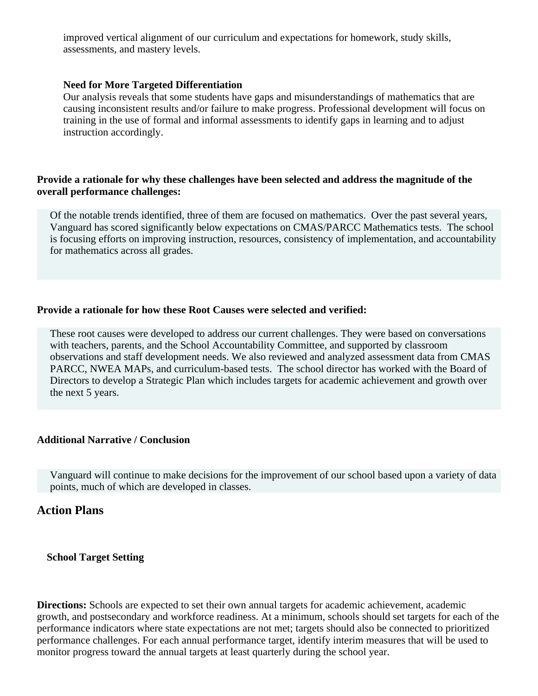improved vertical alignment of our curriculum and expectations for homework, study skills, assessments, and mastery levels.

## **Need for More Targeted Differentiation**

Our analysis reveals that some students have gaps and misunderstandings of mathematics that are causing inconsistent results and/or failure to make progress. Professional development will focus on training in the use of formal and informal assessments to identify gaps in learning and to adjust instruction accordingly.

## **Provide a rationale for why these challenges have been selected and address the magnitude of the overall performance challenges:**

Of the notable trends identified, three of them are focused on mathematics. Over the past several years, Vanguard has scored significantly below expectations on CMAS/PARCC Mathematics tests. The school is focusing efforts on improving instruction, resources, consistency of implementation, and accountability for mathematics across all grades.

## **Provide a rationale for how these Root Causes were selected and verified:**

These root causes were developed to address our current challenges. They were based on conversations with teachers, parents, and the School Accountability Committee, and supported by classroom observations and staff development needs. We also reviewed and analyzed assessment data from CMAS PARCC, NWEA MAPs, and curriculum-based tests. The school director has worked with the Board of Directors to develop a Strategic Plan which includes targets for academic achievement and growth over the next 5 years.

## **Additional Narrative / Conclusion**

Vanguard will continue to make decisions for the improvement of our school based upon a variety of data points, much of which are developed in classes.

## **Action Plans**

### **School Target Setting**

**Directions:** Schools are expected to set their own annual targets for academic achievement, academic growth, and postsecondary and workforce readiness. At a minimum, schools should set targets for each of the performance indicators where state expectations are not met; targets should also be connected to prioritized performance challenges. For each annual performance target, identify interim measures that will be used to monitor progress toward the annual targets at least quarterly during the school year.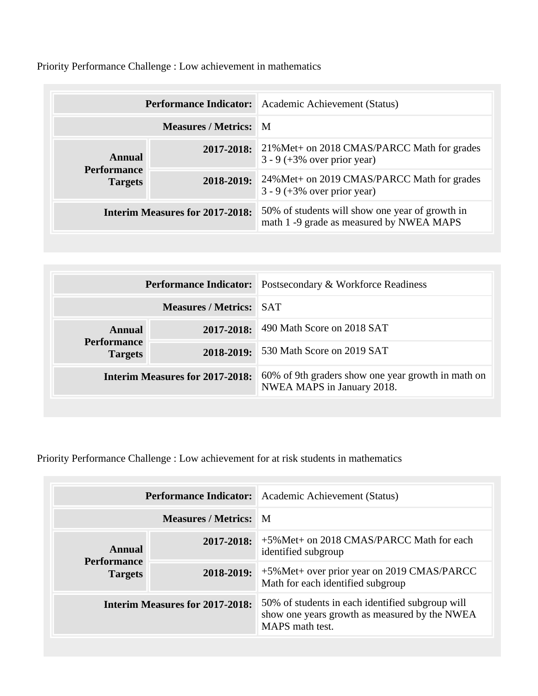Priority Performance Challenge : Low achievement in mathematics

|                               |                                        | <b>Performance Indicator:</b> Academic Achievement (Status)                                 |
|-------------------------------|----------------------------------------|---------------------------------------------------------------------------------------------|
|                               | <b>Measures / Metrics: M</b>           |                                                                                             |
| Annual                        | 2017-2018:                             | 21% Met + on 2018 CMAS/PARCC Math for grades<br>$3 - 9 (+3\% over prior year)$              |
| Performance<br><b>Targets</b> | 2018-2019:                             | 24%Met+ on 2019 CMAS/PARCC Math for grades<br>$3 - 9 (+3\% over prior year)$                |
|                               | <b>Interim Measures for 2017-2018:</b> | 50% of students will show one year of growth in<br>math 1 -9 grade as measured by NWEA MAPS |

|                                        |                                | <b>Performance Indicator:</b> Postsecondary & Workforce Readiness                |
|----------------------------------------|--------------------------------|----------------------------------------------------------------------------------|
|                                        | <b>Measures / Metrics: SAT</b> |                                                                                  |
| Annual                                 | $2017 - 2018$ :                | 490 Math Score on 2018 SAT                                                       |
| <b>Performance</b><br><b>Targets</b>   | 2018-2019:                     | 530 Math Score on 2019 SAT                                                       |
| <b>Interim Measures for 2017-2018:</b> |                                | 60% of 9th graders show one year growth in math on<br>NWEA MAPS in January 2018. |

Priority Performance Challenge : Low achievement for at risk students in mathematics

|                                        |                              | <b>Performance Indicator:</b> Academic Achievement (Status)                                                          |
|----------------------------------------|------------------------------|----------------------------------------------------------------------------------------------------------------------|
|                                        | <b>Measures / Metrics:</b> M |                                                                                                                      |
| Annual                                 | 2017-2018:                   | +5% Met + on 2018 CMAS/PARCC Math for each<br>identified subgroup                                                    |
| Performance<br><b>Targets</b>          | 2018-2019:                   | +5% Met + over prior year on 2019 CMAS/PARCC<br>Math for each identified subgroup                                    |
| <b>Interim Measures for 2017-2018:</b> |                              | 50% of students in each identified subgroup will<br>show one years growth as measured by the NWEA<br>MAPS math test. |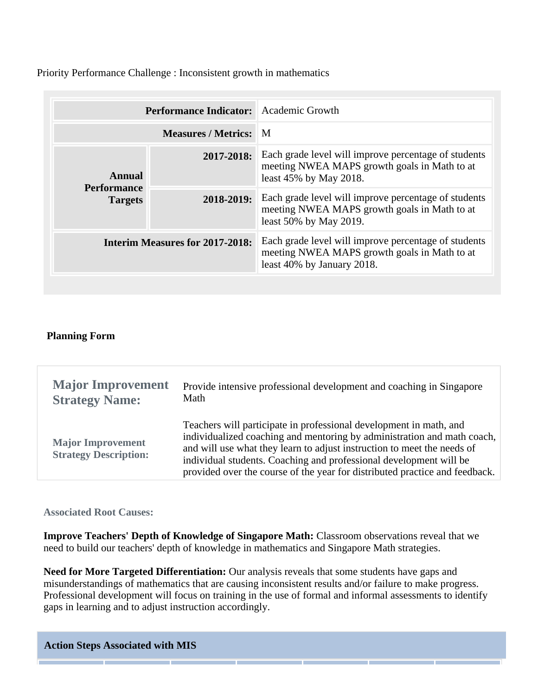Priority Performance Challenge : Inconsistent growth in mathematics

|                                      | <b>Performance Indicator:</b> Academic Growth |                                                                                                                                    |
|--------------------------------------|-----------------------------------------------|------------------------------------------------------------------------------------------------------------------------------------|
|                                      | <b>Measures / Metrics:</b> M                  |                                                                                                                                    |
| Annual                               | 2017-2018:                                    | Each grade level will improve percentage of students<br>meeting NWEA MAPS growth goals in Math to at<br>least 45% by May 2018.     |
| <b>Performance</b><br><b>Targets</b> | 2018-2019:                                    | Each grade level will improve percentage of students<br>meeting NWEA MAPS growth goals in Math to at<br>least 50% by May 2019.     |
|                                      | <b>Interim Measures for 2017-2018:</b>        | Each grade level will improve percentage of students<br>meeting NWEA MAPS growth goals in Math to at<br>least 40% by January 2018. |

## **Planning Form**

| <b>Major Improvement</b>                                 | Provide intensive professional development and coaching in Singapore                                                                                                                                                                                                                                                                                                          |
|----------------------------------------------------------|-------------------------------------------------------------------------------------------------------------------------------------------------------------------------------------------------------------------------------------------------------------------------------------------------------------------------------------------------------------------------------|
| <b>Strategy Name:</b>                                    | Math                                                                                                                                                                                                                                                                                                                                                                          |
| <b>Major Improvement</b><br><b>Strategy Description:</b> | Teachers will participate in professional development in math, and<br>individualized coaching and mentoring by administration and math coach,<br>and will use what they learn to adjust instruction to meet the needs of<br>individual students. Coaching and professional development will be<br>provided over the course of the year for distributed practice and feedback. |

### **Associated Root Causes:**

**Improve Teachers' Depth of Knowledge of Singapore Math:** Classroom observations reveal that we need to build our teachers' depth of knowledge in mathematics and Singapore Math strategies.

**Need for More Targeted Differentiation:** Our analysis reveals that some students have gaps and misunderstandings of mathematics that are causing inconsistent results and/or failure to make progress. Professional development will focus on training in the use of formal and informal assessments to identify gaps in learning and to adjust instruction accordingly.

**Action Steps Associated with MIS**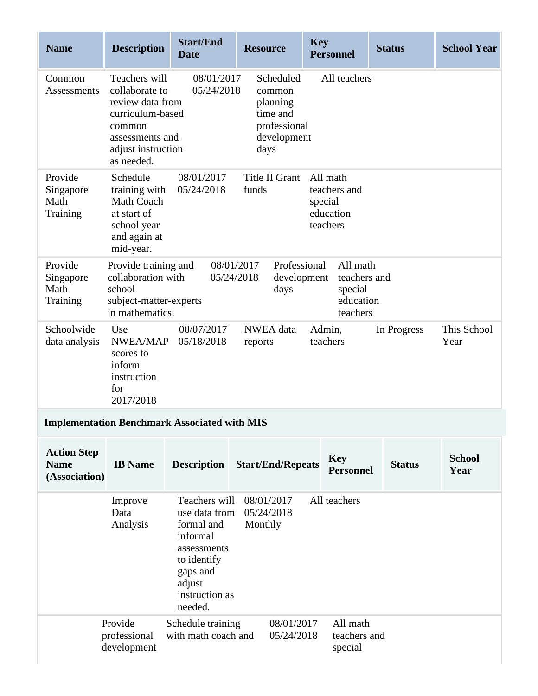| <b>Name</b>                                        | <b>Description</b>                                                                                                                       | <b>Start/End</b><br><b>Date</b>                                                                                                           | <b>Resource</b>                                                                    | <b>Key</b><br><b>Personnel</b>                               | <b>Status</b> | <b>School Year</b>    |
|----------------------------------------------------|------------------------------------------------------------------------------------------------------------------------------------------|-------------------------------------------------------------------------------------------------------------------------------------------|------------------------------------------------------------------------------------|--------------------------------------------------------------|---------------|-----------------------|
| Common<br><b>Assessments</b>                       | Teachers will<br>collaborate to<br>review data from<br>curriculum-based<br>common<br>assessments and<br>adjust instruction<br>as needed. | 08/01/2017<br>05/24/2018                                                                                                                  | Scheduled<br>common<br>planning<br>time and<br>professional<br>development<br>days | All teachers                                                 |               |                       |
| Provide<br>Singapore<br>Math<br>Training           | Schedule<br>training with<br>Math Coach<br>at start of<br>school year<br>and again at<br>mid-year.                                       | 08/01/2017<br>05/24/2018                                                                                                                  | Title II Grant<br>funds                                                            | All math<br>teachers and<br>special<br>education<br>teachers |               |                       |
| Provide<br>Singapore<br>Math<br>Training           | Provide training and<br>collaboration with<br>school<br>subject-matter-experts<br>in mathematics.                                        |                                                                                                                                           | Professional<br>08/01/2017<br>05/24/2018<br>development<br>days                    | All math<br>teachers and<br>special<br>education<br>teachers |               |                       |
| Schoolwide<br>data analysis                        | Use<br><b>NWEA/MAP</b><br>scores to<br>inform<br>instruction<br>for<br>2017/2018                                                         | 08/07/2017<br>05/18/2018                                                                                                                  | NWEA data<br>reports                                                               | Admin,<br>teachers                                           | In Progress   | This School<br>Year   |
|                                                    |                                                                                                                                          | <b>Implementation Benchmark Associated with MIS</b>                                                                                       |                                                                                    |                                                              |               |                       |
| <b>Action Step</b><br><b>Name</b><br>(Association) | <b>IB</b> Name                                                                                                                           | <b>Description</b>                                                                                                                        | <b>Start/End/Repeats</b>                                                           | <b>Key</b><br><b>Personnel</b>                               | <b>Status</b> | <b>School</b><br>Year |
|                                                    | Improve<br>Data<br>Analysis                                                                                                              | Teachers will<br>use data from<br>formal and<br>informal<br>assessments<br>to identify<br>gaps and<br>adjust<br>instruction as<br>needed. | 08/01/2017<br>05/24/2018<br>Monthly                                                | All teachers                                                 |               |                       |
|                                                    | Provide<br>professional<br>development                                                                                                   | Schedule training<br>with math coach and                                                                                                  | 08/01/2017<br>05/24/2018                                                           | All math<br>teachers and<br>special                          |               |                       |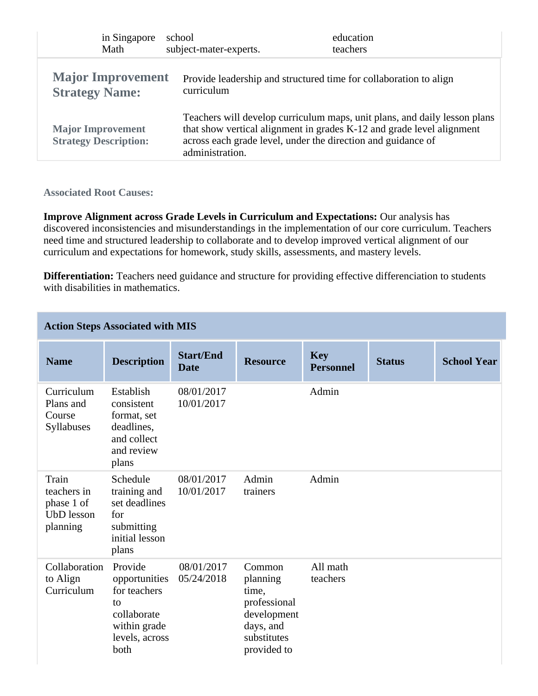| in Singapore                                      | school                                                                          | education                                                                 |
|---------------------------------------------------|---------------------------------------------------------------------------------|---------------------------------------------------------------------------|
| Math                                              | subject-mater-experts.                                                          | teachers                                                                  |
| <b>Major Improvement</b><br><b>Strategy Name:</b> | Provide leadership and structured time for collaboration to align<br>curriculum |                                                                           |
| <b>Major Improvement</b>                          | across each grade level, under the direction and guidance of                    | Teachers will develop curriculum maps, unit plans, and daily lesson plans |
| <b>Strategy Description:</b>                      | administration.                                                                 | that show vertical alignment in grades K-12 and grade level alignment     |

**Associated Root Causes:**

**Improve Alignment across Grade Levels in Curriculum and Expectations:** Our analysis has discovered inconsistencies and misunderstandings in the implementation of our core curriculum. Teachers need time and structured leadership to collaborate and to develop improved vertical alignment of our curriculum and expectations for homework, study skills, assessments, and mastery levels.

**Differentiation:** Teachers need guidance and structure for providing effective differenciation to students with disabilities in mathematics.

|                                                                     | <b>Action Steps Associated with MIS</b>                                                                 |                                 |                                                                                                       |                                |               |                    |
|---------------------------------------------------------------------|---------------------------------------------------------------------------------------------------------|---------------------------------|-------------------------------------------------------------------------------------------------------|--------------------------------|---------------|--------------------|
| <b>Name</b>                                                         | <b>Description</b>                                                                                      | <b>Start/End</b><br><b>Date</b> | <b>Resource</b>                                                                                       | <b>Key</b><br><b>Personnel</b> | <b>Status</b> | <b>School Year</b> |
| Curriculum<br>Plans and<br>Course<br>Syllabuses                     | Establish<br>consistent<br>format, set<br>deadlines,<br>and collect<br>and review<br>plans              | 08/01/2017<br>10/01/2017        |                                                                                                       | Admin                          |               |                    |
| Train<br>teachers in<br>phase 1 of<br><b>UbD</b> lesson<br>planning | Schedule<br>training and<br>set deadlines<br>for<br>submitting<br>initial lesson<br>plans               | 08/01/2017<br>10/01/2017        | Admin<br>trainers                                                                                     | Admin                          |               |                    |
| Collaboration<br>to Align<br>Curriculum                             | Provide<br>opportunities<br>for teachers<br>to<br>collaborate<br>within grade<br>levels, across<br>both | 08/01/2017<br>05/24/2018        | Common<br>planning<br>time,<br>professional<br>development<br>days, and<br>substitutes<br>provided to | All math<br>teachers           |               |                    |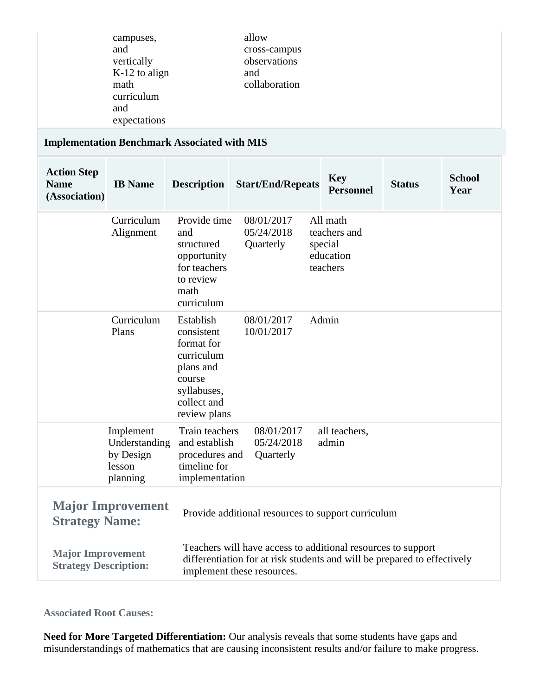| campuses,<br>and<br>vertically<br>$K-12$ to align<br>math<br>curriculum<br>and<br>expectations | allow<br>cross-campus<br>observations<br>and<br>collaboration |
|------------------------------------------------------------------------------------------------|---------------------------------------------------------------|
|------------------------------------------------------------------------------------------------|---------------------------------------------------------------|

# **Implementation Benchmark Associated with MIS**

| <b>Action Step</b><br><b>Name</b><br>(Association)       | <b>IB</b> Name                                                | <b>Description</b>                                                                                                       | <b>Start/End/Repeats</b>                                                                                                                                               | <b>Key</b><br><b>Personnel</b>                               | <b>Status</b> | <b>School</b><br>Year |
|----------------------------------------------------------|---------------------------------------------------------------|--------------------------------------------------------------------------------------------------------------------------|------------------------------------------------------------------------------------------------------------------------------------------------------------------------|--------------------------------------------------------------|---------------|-----------------------|
|                                                          | Curriculum<br>Alignment                                       | Provide time<br>and<br>structured<br>opportunity<br>for teachers<br>to review<br>math<br>curriculum                      | 08/01/2017<br>05/24/2018<br>Quarterly                                                                                                                                  | All math<br>teachers and<br>special<br>education<br>teachers |               |                       |
|                                                          | Curriculum<br>Plans                                           | Establish<br>consistent<br>format for<br>curriculum<br>plans and<br>course<br>syllabuses,<br>collect and<br>review plans | 08/01/2017<br>10/01/2017                                                                                                                                               | Admin                                                        |               |                       |
|                                                          | Implement<br>Understanding<br>by Design<br>lesson<br>planning | Train teachers<br>and establish<br>procedures and<br>timeline for<br>implementation                                      | 08/01/2017<br>05/24/2018<br>Quarterly                                                                                                                                  | all teachers,<br>admin                                       |               |                       |
| <b>Strategy Name:</b>                                    | <b>Major Improvement</b>                                      |                                                                                                                          | Provide additional resources to support curriculum                                                                                                                     |                                                              |               |                       |
| <b>Major Improvement</b><br><b>Strategy Description:</b> |                                                               |                                                                                                                          | Teachers will have access to additional resources to support<br>differentiation for at risk students and will be prepared to effectively<br>implement these resources. |                                                              |               |                       |

## **Associated Root Causes:**

**Need for More Targeted Differentiation:** Our analysis reveals that some students have gaps and misunderstandings of mathematics that are causing inconsistent results and/or failure to make progress.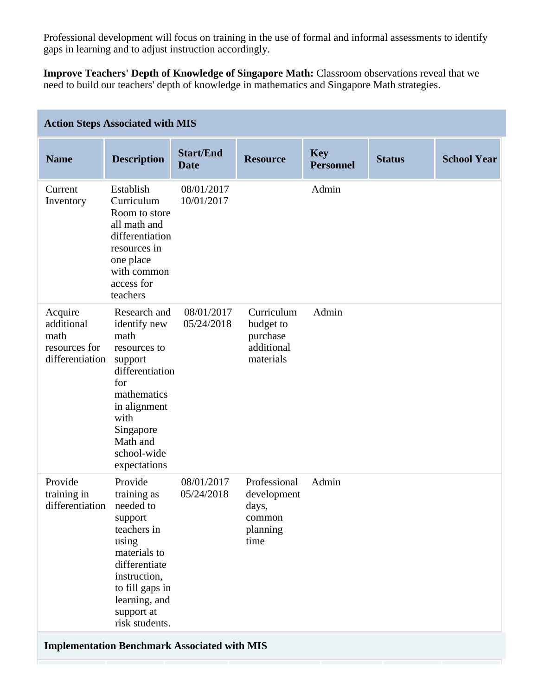Professional development will focus on training in the use of formal and informal assessments to identify gaps in learning and to adjust instruction accordingly.

**Improve Teachers' Depth of Knowledge of Singapore Math:** Classroom observations reveal that we need to build our teachers' depth of knowledge in mathematics and Singapore Math strategies.

|                                                                   | <b>Action Steps Associated with MIS</b>                                                                                                                                                     |                                 |                                                                    |                                |               |                    |
|-------------------------------------------------------------------|---------------------------------------------------------------------------------------------------------------------------------------------------------------------------------------------|---------------------------------|--------------------------------------------------------------------|--------------------------------|---------------|--------------------|
| <b>Name</b>                                                       | <b>Description</b>                                                                                                                                                                          | <b>Start/End</b><br><b>Date</b> | <b>Resource</b>                                                    | <b>Key</b><br><b>Personnel</b> | <b>Status</b> | <b>School Year</b> |
| Current<br>Inventory                                              | Establish<br>Curriculum<br>Room to store<br>all math and<br>differentiation<br>resources in<br>one place<br>with common<br>access for<br>teachers                                           | 08/01/2017<br>10/01/2017        |                                                                    | Admin                          |               |                    |
| Acquire<br>additional<br>math<br>resources for<br>differentiation | Research and<br>identify new<br>math<br>resources to<br>support<br>differentiation<br>for<br>mathematics<br>in alignment<br>with<br>Singapore<br>Math and<br>school-wide<br>expectations    | 08/01/2017<br>05/24/2018        | Curriculum<br>budget to<br>purchase<br>additional<br>materials     | Admin                          |               |                    |
| Provide<br>training in<br>differentiation                         | Provide<br>training as<br>needed to<br>support<br>teachers in<br>using<br>materials to<br>differentiate<br>instruction,<br>to fill gaps in<br>learning, and<br>support at<br>risk students. | 08/01/2017<br>05/24/2018        | Professional<br>development<br>days,<br>common<br>planning<br>time | Admin                          |               |                    |
|                                                                   | <b>Implementation Benchmark Associated with MIS</b>                                                                                                                                         |                                 |                                                                    |                                |               |                    |
|                                                                   |                                                                                                                                                                                             |                                 |                                                                    |                                |               |                    |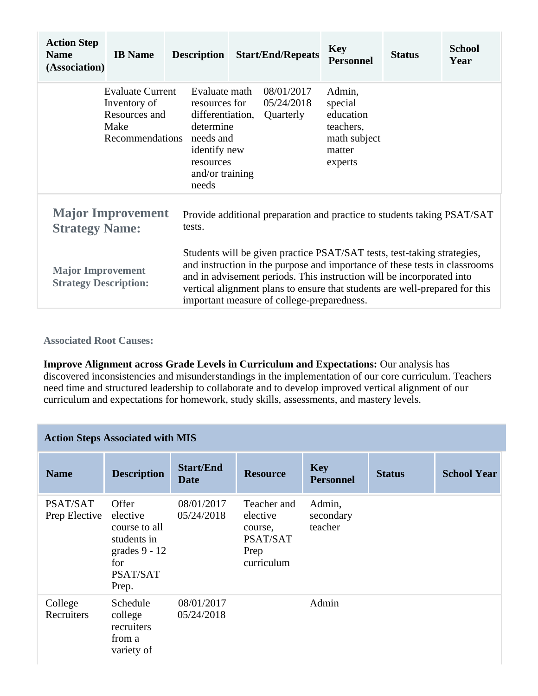| <b>Action Step</b><br><b>Name</b><br>(Association)       | <b>IB</b> Name                                                                      | <b>Description</b> |                                                                                                                              | <b>Start/End/Repeats</b>                                                                                                                                                                                                                                                                                                                                    | <b>Key</b><br><b>Personnel</b>                                                   | <b>Status</b> | <b>School</b><br>Year |
|----------------------------------------------------------|-------------------------------------------------------------------------------------|--------------------|------------------------------------------------------------------------------------------------------------------------------|-------------------------------------------------------------------------------------------------------------------------------------------------------------------------------------------------------------------------------------------------------------------------------------------------------------------------------------------------------------|----------------------------------------------------------------------------------|---------------|-----------------------|
|                                                          | <b>Evaluate Current</b><br>Inventory of<br>Resources and<br>Make<br>Recommendations | needs              | Evaluate math<br>resources for<br>differentiation,<br>determine<br>needs and<br>identify new<br>resources<br>and/or training | 08/01/2017<br>05/24/2018<br>Quarterly                                                                                                                                                                                                                                                                                                                       | Admin,<br>special<br>education<br>teachers,<br>math subject<br>matter<br>experts |               |                       |
| <b>Strategy Name:</b>                                    | <b>Major Improvement</b>                                                            | tests.             |                                                                                                                              | Provide additional preparation and practice to students taking PSAT/SAT                                                                                                                                                                                                                                                                                     |                                                                                  |               |                       |
| <b>Major Improvement</b><br><b>Strategy Description:</b> |                                                                                     |                    |                                                                                                                              | Students will be given practice PSAT/SAT tests, test-taking strategies,<br>and instruction in the purpose and importance of these tests in classrooms<br>and in advisement periods. This instruction will be incorporated into<br>vertical alignment plans to ensure that students are well-prepared for this<br>important measure of college-preparedness. |                                                                                  |               |                       |

**Associated Root Causes:**

**Improve Alignment across Grade Levels in Curriculum and Expectations:** Our analysis has discovered inconsistencies and misunderstandings in the implementation of our core curriculum. Teachers need time and structured leadership to collaborate and to develop improved vertical alignment of our curriculum and expectations for homework, study skills, assessments, and mastery levels.

|                           | <b>Action Steps Associated with MIS</b>                                                          |                                 |                                                                      |                                |               |                    |
|---------------------------|--------------------------------------------------------------------------------------------------|---------------------------------|----------------------------------------------------------------------|--------------------------------|---------------|--------------------|
| <b>Name</b>               | <b>Description</b>                                                                               | <b>Start/End</b><br><b>Date</b> | <b>Resource</b>                                                      | <b>Key</b><br><b>Personnel</b> | <b>Status</b> | <b>School Year</b> |
| PSAT/SAT<br>Prep Elective | Offer<br>elective<br>course to all<br>students in<br>grades $9 - 12$<br>for<br>PSAT/SAT<br>Prep. | 08/01/2017<br>05/24/2018        | Teacher and<br>elective<br>course,<br>PSAT/SAT<br>Prep<br>curriculum | Admin,<br>secondary<br>teacher |               |                    |
| College<br>Recruiters     | Schedule<br>college<br>recruiters<br>from a<br>variety of                                        | 08/01/2017<br>05/24/2018        |                                                                      | Admin                          |               |                    |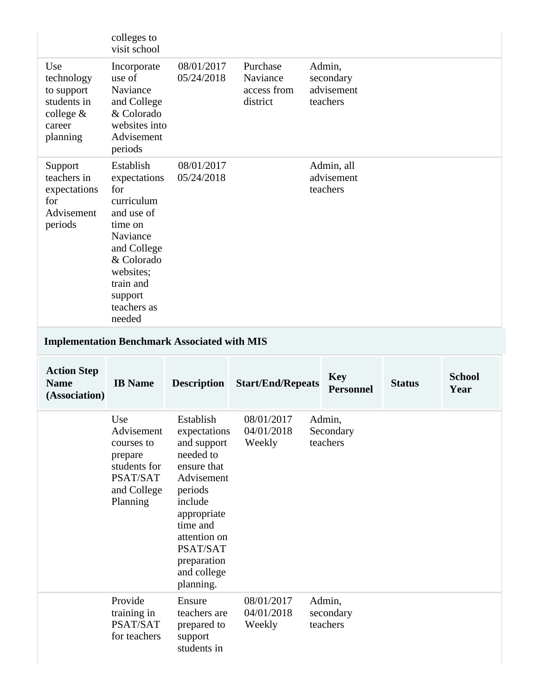|                                                                                     | colleges to<br>visit school                                                                                                                                                    |                                                                                                                                                                                                            |                                                 |                                               |               |                       |
|-------------------------------------------------------------------------------------|--------------------------------------------------------------------------------------------------------------------------------------------------------------------------------|------------------------------------------------------------------------------------------------------------------------------------------------------------------------------------------------------------|-------------------------------------------------|-----------------------------------------------|---------------|-----------------------|
| Use<br>technology<br>to support<br>students in<br>college $&$<br>career<br>planning | Incorporate<br>use of<br>Naviance<br>and College<br>& Colorado<br>websites into<br>Advisement<br>periods                                                                       | 08/01/2017<br>05/24/2018                                                                                                                                                                                   | Purchase<br>Naviance<br>access from<br>district | Admin,<br>secondary<br>advisement<br>teachers |               |                       |
| Support<br>teachers in<br>expectations<br>for<br>Advisement<br>periods              | Establish<br>expectations<br>for<br>curriculum<br>and use of<br>time on<br>Naviance<br>and College<br>& Colorado<br>websites;<br>train and<br>support<br>teachers as<br>needed | 08/01/2017<br>05/24/2018                                                                                                                                                                                   |                                                 | Admin, all<br>advisement<br>teachers          |               |                       |
|                                                                                     |                                                                                                                                                                                | <b>Implementation Benchmark Associated with MIS</b>                                                                                                                                                        |                                                 |                                               |               |                       |
|                                                                                     |                                                                                                                                                                                |                                                                                                                                                                                                            |                                                 |                                               |               |                       |
| <b>Action Step</b><br><b>Name</b><br>(Association)                                  | <b>IB</b> Name                                                                                                                                                                 | <b>Description</b>                                                                                                                                                                                         | <b>Start/End/Repeats</b>                        | <b>Key</b><br><b>Personnel</b>                | <b>Status</b> | <b>School</b><br>Year |
|                                                                                     | Use<br>Advisement<br>courses to<br>prepare<br>students for<br>PSAT/SAT<br>and College<br>Planning                                                                              | Establish<br>expectations<br>and support<br>needed to<br>ensure that<br>Advisement<br>periods<br>include<br>appropriate<br>time and<br>attention on<br>PSAT/SAT<br>preparation<br>and college<br>planning. | 08/01/2017<br>04/01/2018<br>Weekly              | Admin.<br>Secondary<br>teachers               |               |                       |